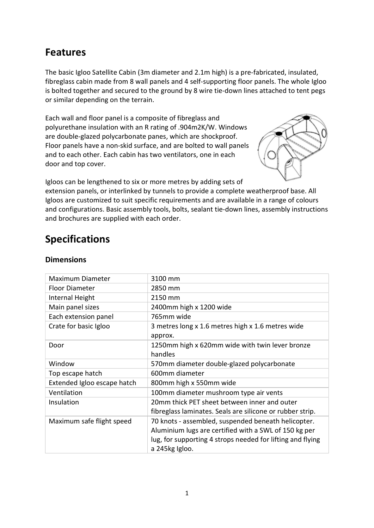## Features

The basic Igloo Satellite Cabin (3m diameter and 2.1m high) is a pre-fabricated, insulated, fibreglass cabin made from 8 wall panels and 4 self-supporting floor panels. The whole Igloo is bolted together and secured to the ground by 8 wire tie-down lines attached to tent pegs or similar depending on the terrain.

Each wall and floor panel is a composite of fibreglass and polyurethane insulation with an R rating of .904m2K/W. Windows are double-glazed polycarbonate panes, which are shockproof. Floor panels have a non-skid surface, and are bolted to wall panels and to each other. Each cabin has two ventilators, one in each door and top cover.



Igloos can be lengthened to six or more metres by adding sets of extension panels, or interlinked by tunnels to provide a complete weatherproof base. All Igloos are customized to suit specific requirements and are available in a range of colours and configurations. Basic assembly tools, bolts, sealant tie-down lines, assembly instructions and brochures are supplied with each order.

# Specifications

| Maximum Diameter            | 3100 mm                                                    |
|-----------------------------|------------------------------------------------------------|
| <b>Floor Diameter</b>       | 2850 mm                                                    |
| Internal Height             | 2150 mm                                                    |
| Main panel sizes            | 2400mm high x 1200 wide                                    |
| Each extension panel        | 765mm wide                                                 |
| Crate for basic Igloo       | 3 metres long x 1.6 metres high x 1.6 metres wide          |
|                             | approx.                                                    |
| Door                        | 1250mm high x 620mm wide with twin lever bronze            |
|                             | handles                                                    |
| Window                      | 570mm diameter double-glazed polycarbonate                 |
| Top escape hatch            | 600mm diameter                                             |
| Extended Igloo escape hatch | 800mm high x 550mm wide                                    |
| Ventilation                 | 100mm diameter mushroom type air vents                     |
| Insulation                  | 20mm thick PET sheet between inner and outer               |
|                             | fibreglass laminates. Seals are silicone or rubber strip.  |
| Maximum safe flight speed   | 70 knots - assembled, suspended beneath helicopter.        |
|                             | Aluminium lugs are certified with a SWL of 150 kg per      |
|                             | lug, for supporting 4 strops needed for lifting and flying |
|                             | a 245kg Igloo.                                             |

#### Dimensions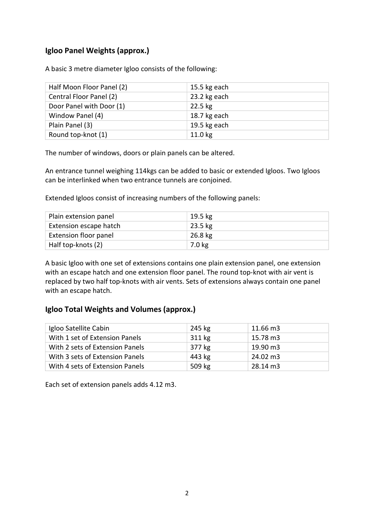### Igloo Panel Weights (approx.)

A basic 3 metre diameter Igloo consists of the following:

| Half Moon Floor Panel (2) | 15.5 kg each |
|---------------------------|--------------|
| Central Floor Panel (2)   | 23.2 kg each |
| Door Panel with Door (1)  | $22.5$ kg    |
| Window Panel (4)          | 18.7 kg each |
| Plain Panel (3)           | 19.5 kg each |
| Round top-knot (1)        | $11.0$ kg    |

The number of windows, doors or plain panels can be altered.

An entrance tunnel weighing 114kgs can be added to basic or extended Igloos. Two Igloos can be interlinked when two entrance tunnels are conjoined.

Extended Igloos consist of increasing numbers of the following panels:

| Plain extension panel  | $19.5 \text{ kg}$ |
|------------------------|-------------------|
| Extension escape hatch | $23.5 \text{ kg}$ |
| Extension floor panel  | 26.8 kg           |
| Half top-knots (2)     | 7.0 kg            |

A basic Igloo with one set of extensions contains one plain extension panel, one extension with an escape hatch and one extension floor panel. The round top-knot with air vent is replaced by two half top-knots with air vents. Sets of extensions always contain one panel with an escape hatch.

#### Igloo Total Weights and Volumes (approx.)

| Igloo Satellite Cabin           | 245 kg | 11.66 m3 |
|---------------------------------|--------|----------|
| With 1 set of Extension Panels  | 311 kg | 15.78 m3 |
| With 2 sets of Extension Panels | 377 kg | 19.90 m3 |
| With 3 sets of Extension Panels | 443 kg | 24.02 m3 |
| With 4 sets of Extension Panels | 509 kg | 28.14 m3 |

Each set of extension panels adds 4.12 m3.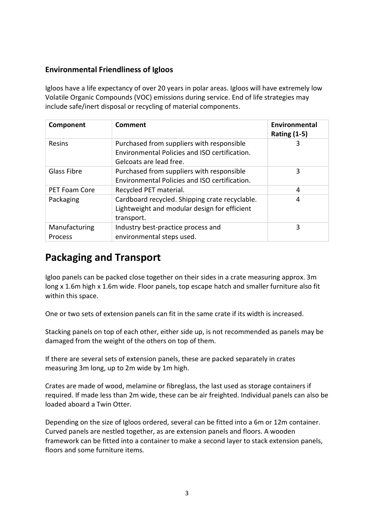#### Environmental Friendliness of Igloos

Igloos have a life expectancy of over 20 years in polar areas. Igloos will have extremely low Volatile Organic Compounds (VOC) emissions during service. End of life strategies may include safe/inert disposal or recycling of material components.

| Component                       | Comment                                                                                                               | Environmental<br><b>Rating (1-5)</b> |
|---------------------------------|-----------------------------------------------------------------------------------------------------------------------|--------------------------------------|
| <b>Resins</b>                   | Purchased from suppliers with responsible<br>Environmental Policies and ISO certification.<br>Gelcoats are lead free. | 3                                    |
| <b>Glass Fibre</b>              | Purchased from suppliers with responsible<br>Environmental Policies and ISO certification.                            | 3                                    |
| <b>PET Foam Core</b>            | Recycled PET material.                                                                                                | 4                                    |
| Packaging                       | Cardboard recycled. Shipping crate recyclable.<br>Lightweight and modular design for efficient<br>transport.          | 4                                    |
| Manufacturing<br><b>Process</b> | Industry best-practice process and<br>environmental steps used.                                                       | 3                                    |

### Packaging and Transport

Igloo panels can be packed close together on their sides in a crate measuring approx. 3m long x 1.6m high x 1.6m wide. Floor panels, top escape hatch and smaller furniture also fit within this space.

One or two sets of extension panels can fit in the same crate if its width is increased.

Stacking panels on top of each other, either side up, is not recommended as panels may be damaged from the weight of the others on top of them.

If there are several sets of extension panels, these are packed separately in crates measuring 3m long, up to 2m wide by 1m high.

Crates are made of wood, melamine or fibreglass, the last used as storage containers if required. If made less than 2m wide, these can be air freighted. Individual panels can also be loaded aboard a Twin Otter.

Depending on the size of Igloos ordered, several can be fitted into a 6m or 12m container. Curved panels are nestled together, as are extension panels and floors. A wooden framework can be fitted into a container to make a second layer to stack extension panels, floors and some furniture items.